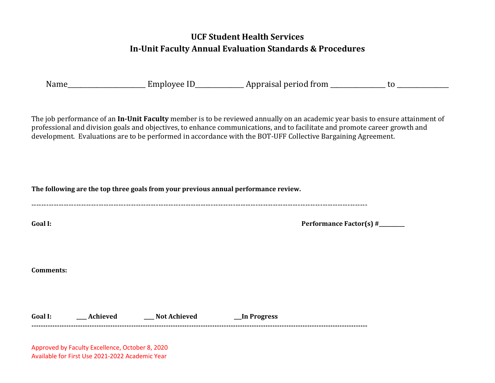## **UCF Student Health Services In-Unit Faculty Annual Evaluation Standards & Procedures**

|  | cmplovee | Appraisal period from |  |
|--|----------|-----------------------|--|
|--|----------|-----------------------|--|

The job performance of an **In-Unit Faculty** member is to be reviewed annually on an academic year basis to ensure attainment of professional and division goals and objectives, to enhance communications, and to facilitate and promote career growth and development. Evaluations are to be performed in accordance with the BOT-UFF Collective Bargaining Agreement.

**The following are the top three goals from your previous annual performance review.** 

---------------------------------------------------------------------------------------------------------------------------------------

Goal I: **Figure 1.1 Figure 1.1 Figure 1.1 Figure 1.1 Figure 1.1 Figure 1.1 Figure 1.1 Figure 1.1 Figure 1.1 Figure 1.1 Figure 1.1 Figure 1.1 Figure 1.1 Figure 1.1 Figure 1.1 Figure 1.1 Figure 1.1 Figure 1.1 Figure 1.1 Figu** 

**Comments:** 

**Goal I: \_\_\_\_ Achieved \_\_\_\_ Not Achieved \_\_\_In Progress -------------------------------------------------------------------------------------------------------------------------------------------------**

Approved by Faculty Excellence, October 8, 2020 Available for First Use 2021-2022 Academic Year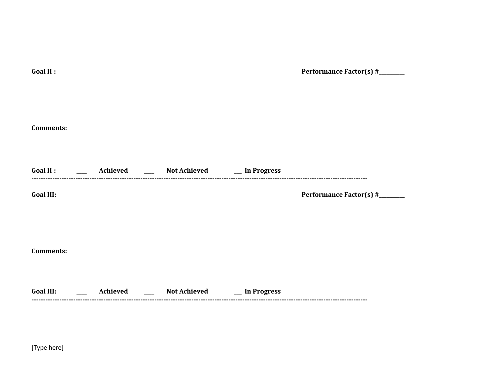| Goal II :                                 |                                                                     | Performance Factor(s) #______ |
|-------------------------------------------|---------------------------------------------------------------------|-------------------------------|
|                                           |                                                                     |                               |
|                                           |                                                                     |                               |
|                                           |                                                                     |                               |
| <b>Comments:</b>                          |                                                                     |                               |
|                                           |                                                                     |                               |
|                                           | Goal II : ________ Achieved _______ Not Achieved ______ In Progress |                               |
| <b>Goal III:</b>                          |                                                                     | Performance Factor(s) #______ |
|                                           |                                                                     |                               |
|                                           |                                                                     |                               |
|                                           |                                                                     |                               |
|                                           |                                                                     |                               |
| <b>Comments:</b>                          |                                                                     |                               |
|                                           |                                                                     |                               |
| <b>Goal III:</b><br><u> 1999 - Jan Ja</u> | Achieved _____ Not Achieved _____ In Progress                       |                               |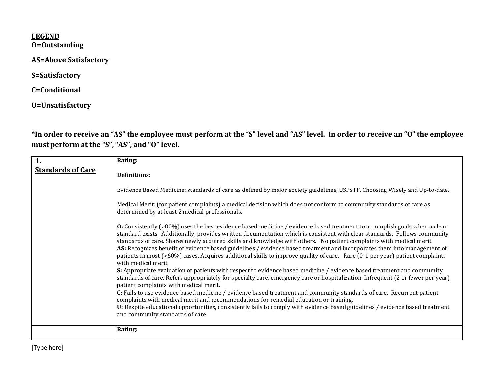## **LEGEND O=Outstanding**

**AS=Above Satisfactory** 

**S=Satisfactory** 

**C=Conditional** 

**U=Unsatisfactory**

**\*In order to receive an "AS" the employee must perform at the "S" level and "AS" level. In order to receive an "O" the employee must perform at the "S", "AS", and "O" level.**

| <b>Standards of Care</b><br><b>Definitions:</b><br>Evidence Based Medicine: standards of care as defined by major society guidelines, USPSTF, Choosing Wisely and Up-to-date.<br>Medical Merit: (for patient complaints) a medical decision which does not conform to community standards of care as<br>determined by at least 2 medical professionals.<br>O: Consistently (>80%) uses the best evidence based medicine / evidence based treatment to accomplish goals when a clear<br>standard exists. Additionally, provides written documentation which is consistent with clear standards. Follows community<br>standards of care. Shares newly acquired skills and knowledge with others. No patient complaints with medical merit.<br>AS: Recognizes benefit of evidence based guidelines / evidence based treatment and incorporates them into management of<br>patients in most (>60%) cases. Acquires additional skills to improve quality of care. Rare (0-1 per year) patient complaints<br>with medical merit.<br>S: Appropriate evaluation of patients with respect to evidence based medicine / evidence based treatment and community<br>standards of care. Refers appropriately for specialty care, emergency care or hospitalization. Infrequent (2 or fewer per year)<br>patient complaints with medical merit.<br>C: Fails to use evidence based medicine / evidence based treatment and community standards of care. Recurrent patient<br>complaints with medical merit and recommendations for remedial education or training.<br>U: Despite educational opportunities, consistently fails to comply with evidence based guidelines / evidence based treatment<br>and community standards of care.<br>Rating: | 1. | Rating: |
|------------------------------------------------------------------------------------------------------------------------------------------------------------------------------------------------------------------------------------------------------------------------------------------------------------------------------------------------------------------------------------------------------------------------------------------------------------------------------------------------------------------------------------------------------------------------------------------------------------------------------------------------------------------------------------------------------------------------------------------------------------------------------------------------------------------------------------------------------------------------------------------------------------------------------------------------------------------------------------------------------------------------------------------------------------------------------------------------------------------------------------------------------------------------------------------------------------------------------------------------------------------------------------------------------------------------------------------------------------------------------------------------------------------------------------------------------------------------------------------------------------------------------------------------------------------------------------------------------------------------------------------------------------------------------------------------------------------------------------|----|---------|
|                                                                                                                                                                                                                                                                                                                                                                                                                                                                                                                                                                                                                                                                                                                                                                                                                                                                                                                                                                                                                                                                                                                                                                                                                                                                                                                                                                                                                                                                                                                                                                                                                                                                                                                                    |    |         |
|                                                                                                                                                                                                                                                                                                                                                                                                                                                                                                                                                                                                                                                                                                                                                                                                                                                                                                                                                                                                                                                                                                                                                                                                                                                                                                                                                                                                                                                                                                                                                                                                                                                                                                                                    |    |         |
|                                                                                                                                                                                                                                                                                                                                                                                                                                                                                                                                                                                                                                                                                                                                                                                                                                                                                                                                                                                                                                                                                                                                                                                                                                                                                                                                                                                                                                                                                                                                                                                                                                                                                                                                    |    |         |
|                                                                                                                                                                                                                                                                                                                                                                                                                                                                                                                                                                                                                                                                                                                                                                                                                                                                                                                                                                                                                                                                                                                                                                                                                                                                                                                                                                                                                                                                                                                                                                                                                                                                                                                                    |    |         |
|                                                                                                                                                                                                                                                                                                                                                                                                                                                                                                                                                                                                                                                                                                                                                                                                                                                                                                                                                                                                                                                                                                                                                                                                                                                                                                                                                                                                                                                                                                                                                                                                                                                                                                                                    |    |         |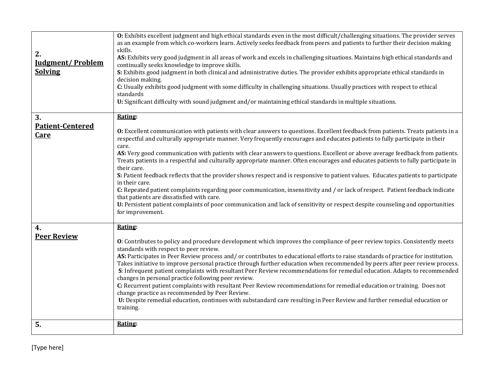| 2.<br><b>Iudgment/Problem</b><br><b>Solving</b> | O: Exhibits excellent judgment and high ethical standards even in the most difficult/challenging situations. The provider serves<br>as an example from which co-workers learn. Actively seeks feedback from peers and patients to further their decision making<br>skills.<br>AS: Exhibits very good judgment in all areas of work and excels in challenging situations. Maintains high ethical standards and<br>continually seeks knowledge to improve skills.<br>S: Exhibits good judgment in both clinical and administrative duties. The provider exhibits appropriate ethical standards in<br>decision making.<br>C: Usually exhibits good judgment with some difficulty in challenging situations. Usually practices with respect to ethical<br>standards<br>U: Significant difficulty with sound judgment and/or maintaining ethical standards in multiple situations.                                                                                                                                                                               |
|-------------------------------------------------|-------------------------------------------------------------------------------------------------------------------------------------------------------------------------------------------------------------------------------------------------------------------------------------------------------------------------------------------------------------------------------------------------------------------------------------------------------------------------------------------------------------------------------------------------------------------------------------------------------------------------------------------------------------------------------------------------------------------------------------------------------------------------------------------------------------------------------------------------------------------------------------------------------------------------------------------------------------------------------------------------------------------------------------------------------------|
| 3.                                              | Rating:                                                                                                                                                                                                                                                                                                                                                                                                                                                                                                                                                                                                                                                                                                                                                                                                                                                                                                                                                                                                                                                     |
| <b>Patient-Centered</b><br><u>Care</u>          | O: Excellent communication with patients with clear answers to questions. Excellent feedback from patients. Treats patients in a<br>respectful and culturally appropriate manner. Very frequently encourages and educates patients to fully participate in their<br>care.<br>AS: Very good communication with patients with clear answers to questions. Excellent or above average feedback from patients.<br>Treats patients in a respectful and culturally appropriate manner. Often encourages and educates patients to fully participate in<br>their care.<br>S: Patient feedback reflects that the provider shows respect and is responsive to patient values. Educates patients to participate<br>in their care.<br>C: Repeated patient complaints regarding poor communication, insensitivity and / or lack of respect. Patient feedback indicate<br>that patients are dissatisfied with care.<br>U: Persistent patient complaints of poor communication and lack of sensitivity or respect despite counseling and opportunities<br>for improvement. |
| 4.<br><b>Peer Review</b>                        | Rating:                                                                                                                                                                                                                                                                                                                                                                                                                                                                                                                                                                                                                                                                                                                                                                                                                                                                                                                                                                                                                                                     |
|                                                 | O: Contributes to policy and procedure development which improves the compliance of peer review topics. Consistently meets<br>standards with respect to peer review.<br>AS: Participates in Peer Review process and/or contributes to educational efforts to raise standards of practice for institution.<br>Takes initiative to improve personal practice through further education when recommended by peers after peer review process.<br>S: Infrequent patient complaints with resultant Peer Review recommendations for remedial education. Adapts to recommended<br>changes in personal practice following peer review.<br>C: Recurrent patient complaints with resultant Peer Review recommendations for remedial education or training. Does not<br>change practice as recommended by Peer Review.<br>U: Despite remedial education, continues with substandard care resulting in Peer Review and further remedial education or<br>training.                                                                                                        |
| 5.                                              | Rating:                                                                                                                                                                                                                                                                                                                                                                                                                                                                                                                                                                                                                                                                                                                                                                                                                                                                                                                                                                                                                                                     |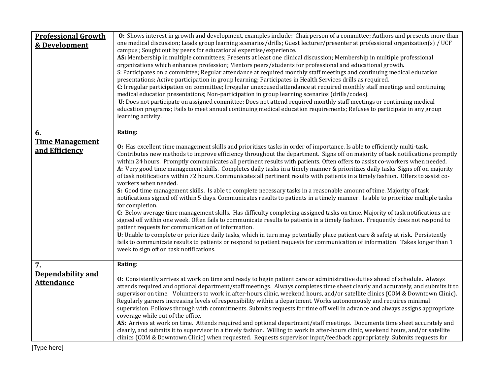| <b>Professional Growth</b><br>& Development    | O: Shows interest in growth and development, examples include: Chairperson of a committee; Authors and presents more than<br>one medical discussion; Leads group learning scenarios/drills; Guest lecturer/presenter at professional organization(s) / UCF<br>campus ; Sought out by peers for educational expertise/experience.<br>AS: Membership in multiple committees; Presents at least one clinical discussion; Membership in multiple professional<br>organizations which enhances profession; Mentors peers/students for professional and educational growth.<br>S: Participates on a committee; Regular attendance at required monthly staff meetings and continuing medical education<br>presentations; Active participation in group learning; Participates in Health Services drills as required.<br>C: Irregular participation on committee; Irregular unexcused attendance at required monthly staff meetings and continuing<br>medical education presentations; Non-participation in group learning scenarios (drills/codes).<br>U: Does not participate on assigned committee; Does not attend required monthly staff meetings or continuing medical<br>education programs; Fails to meet annual continuing medical education requirements; Refuses to participate in any group<br>learning activity.                                                                                                                                                                                                                                                                                                      |
|------------------------------------------------|----------------------------------------------------------------------------------------------------------------------------------------------------------------------------------------------------------------------------------------------------------------------------------------------------------------------------------------------------------------------------------------------------------------------------------------------------------------------------------------------------------------------------------------------------------------------------------------------------------------------------------------------------------------------------------------------------------------------------------------------------------------------------------------------------------------------------------------------------------------------------------------------------------------------------------------------------------------------------------------------------------------------------------------------------------------------------------------------------------------------------------------------------------------------------------------------------------------------------------------------------------------------------------------------------------------------------------------------------------------------------------------------------------------------------------------------------------------------------------------------------------------------------------------------------------------------------------------------------------------------------|
| 6.<br><b>Time Management</b><br>and Efficiency | Rating:<br>O: Has excellent time management skills and prioritizes tasks in order of importance. Is able to efficiently multi-task.<br>Contributes new methods to improve efficiency throughout the department. Signs off on majority of task notifications promptly<br>within 24 hours. Promptly communicates all pertinent results with patients. Often offers to assist co-workers when needed.<br>A: Very good time management skills. Completes daily tasks in a timely manner & prioritizes daily tasks. Signs off on majority<br>of task notifications within 72 hours. Communicates all pertinent results with patients in a timely fashion. Offers to assist co-<br>workers when needed.<br>S: Good time management skills. Is able to complete necessary tasks in a reasonable amount of time. Majority of task<br>notifications signed off within 5 days. Communicates results to patients in a timely manner. Is able to prioritize multiple tasks<br>for completion.<br>C: Below average time management skills. Has difficulty completing assigned tasks on time. Majority of task notifications are<br>signed off within one week. Often fails to communicate results to patients in a timely fashion. Frequently does not respond to<br>patient requests for communication of information.<br>U: Unable to complete or prioritize daily tasks, which in turn may potentially place patient care & safety at risk. Persistently<br>fails to communicate results to patients or respond to patient requests for communication of information. Takes longer than 1<br>week to sign off on task notifications. |
| 7.<br>Dependability and<br><b>Attendance</b>   | Rating:<br>O: Consistently arrives at work on time and ready to begin patient care or administrative duties ahead of schedule. Always<br>attends required and optional department/staff meetings. Always completes time sheet clearly and accurately, and submits it to<br>supervisor on time. Volunteers to work in after-hours clinic, weekend hours, and/or satellite clinics (COM & Downtown Clinic).<br>Regularly garners increasing levels of responsibility within a department. Works autonomously and requires minimal<br>supervision. Follows through with commitments. Submits requests for time off well in advance and always assigns appropriate<br>coverage while out of the office.<br>AS: Arrives at work on time. Attends required and optional department/staff meetings. Documents time sheet accurately and<br>clearly, and submits it to supervisor in a timely fashion. Willing to work in after-hours clinic, weekend hours, and/or satellite<br>clinics (COM & Downtown Clinic) when requested. Requests supervisor input/feedback appropriately. Submits requests for                                                                                                                                                                                                                                                                                                                                                                                                                                                                                                                            |

[Type here]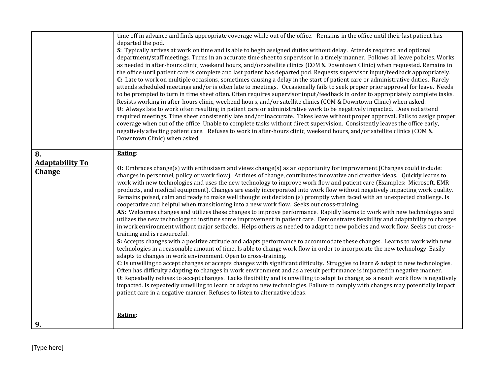|                                        | time off in advance and finds appropriate coverage while out of the office. Remains in the office until their last patient has<br>departed the pod.<br>S: Typically arrives at work on time and is able to begin assigned duties without delay. Attends required and optional<br>department/staff meetings. Turns in an accurate time sheet to supervisor in a timely manner. Follows all leave policies. Works<br>as needed in after-hours clinic, weekend hours, and/or satellite clinics (COM & Downtown Clinic) when requested. Remains in<br>the office until patient care is complete and last patient has departed pod. Requests supervisor input/feedback appropriately.<br>C: Late to work on multiple occasions, sometimes causing a delay in the start of patient care or administrative duties. Rarely<br>attends scheduled meetings and/or is often late to meetings. Occasionally fails to seek proper prior approval for leave. Needs<br>to be prompted to turn in time sheet often. Often requires supervisor input/feedback in order to appropriately complete tasks.<br>Resists working in after-hours clinic, weekend hours, and/or satellite clinics (COM & Downtown Clinic) when asked.<br>U: Always late to work often resulting in patient care or administrative work to be negatively impacted. Does not attend<br>required meetings. Time sheet consistently late and/or inaccurate. Takes leave without proper approval. Fails to assign proper<br>coverage when out of the office. Unable to complete tasks without direct supervision. Consistently leaves the office early,<br>negatively affecting patient care. Refuses to work in after-hours clinic, weekend hours, and/or satellite clinics (COM &<br>Downtown Clinic) when asked.                                                                                                                                                                                                                                                                                                                                                                        |
|----------------------------------------|----------------------------------------------------------------------------------------------------------------------------------------------------------------------------------------------------------------------------------------------------------------------------------------------------------------------------------------------------------------------------------------------------------------------------------------------------------------------------------------------------------------------------------------------------------------------------------------------------------------------------------------------------------------------------------------------------------------------------------------------------------------------------------------------------------------------------------------------------------------------------------------------------------------------------------------------------------------------------------------------------------------------------------------------------------------------------------------------------------------------------------------------------------------------------------------------------------------------------------------------------------------------------------------------------------------------------------------------------------------------------------------------------------------------------------------------------------------------------------------------------------------------------------------------------------------------------------------------------------------------------------------------------------------------------------------------------------------------------------------------------------------------------------------------------------------------------------------------------------------------------------------------------------------------------------------------------------------------------------------------------------------------------------------------------------------------------------------------------------------------------------------------|
| 8.<br><b>Adaptability To</b><br>Change | Rating:<br><b>O:</b> Embraces change(s) with enthusiasm and views change(s) as an opportunity for improvement (Changes could include:<br>changes in personnel, policy or work flow). At times of change, contributes innovative and creative ideas. Quickly learns to<br>work with new technologies and uses the new technology to improve work flow and patient care (Examples: Microsoft, EMR<br>products, and medical equipment). Changes are easily incorporated into work flow without negatively impacting work quality.<br>Remains poised, calm and ready to make well thought out decision (s) promptly when faced with an unexpected challenge. Is<br>cooperative and helpful when transitioning into a new work flow. Seeks out cross-training.<br>AS: Welcomes changes and utilizes these changes to improve performance. Rapidly learns to work with new technologies and<br>utilizes the new technology to institute some improvement in patient care. Demonstrates flexibility and adaptability to changes<br>in work environment without major setbacks. Helps others as needed to adapt to new policies and work flow. Seeks out cross-<br>training and is resourceful.<br>S: Accepts changes with a positive attitude and adapts performance to accommodate these changes. Learns to work with new<br>technologies in a reasonable amount of time. Is able to change work flow in order to incorporate the new technology. Easily<br>adapts to changes in work environment. Open to cross-training.<br>C: Is unwilling to accept changes or accepts changes with significant difficulty. Struggles to learn & adapt to new technologies.<br>Often has difficulty adapting to changes in work environment and as a result performance is impacted in negative manner.<br>U: Repeatedly refuses to accept changes. Lacks flexibility and is unwilling to adapt to change, as a result work flow is negatively<br>impacted. Is repeatedly unwilling to learn or adapt to new technologies. Failure to comply with changes may potentially impact<br>patient care in a negative manner. Refuses to listen to alternative ideas. |
| 9.                                     | Rating:                                                                                                                                                                                                                                                                                                                                                                                                                                                                                                                                                                                                                                                                                                                                                                                                                                                                                                                                                                                                                                                                                                                                                                                                                                                                                                                                                                                                                                                                                                                                                                                                                                                                                                                                                                                                                                                                                                                                                                                                                                                                                                                                      |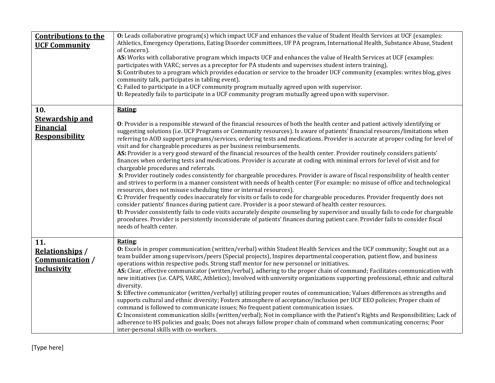| <b>Contributions to the</b><br><b>UCF Community</b>                        | <b>O:</b> Leads collaborative program(s) which impact UCF and enhances the value of Student Health Services at UCF (examples:<br>Athletics, Emergency Operations, Eating Disorder committees, UF PA program, International Health, Substance Abuse, Student<br>of Concern).<br>AS: Works with collaborative program which impacts UCF and enhances the value of Health Services at UCF (examples:<br>participates with VARC; serves as a preceptor for PA students and supervises student intern training).<br>S: Contributes to a program which provides education or service to the broader UCF community (examples: writes blog, gives<br>community talk, participates in tabling event).<br>C: Failed to participate in a UCF community program mutually agreed upon with supervisor.<br>U: Repeatedly fails to participate in a UCF community program mutually agreed upon with supervisor.                                                                                                                                                                                                                                                                                                                                                                                                                                                                                                                                                                                                                                                                                                                                                                                 |
|----------------------------------------------------------------------------|----------------------------------------------------------------------------------------------------------------------------------------------------------------------------------------------------------------------------------------------------------------------------------------------------------------------------------------------------------------------------------------------------------------------------------------------------------------------------------------------------------------------------------------------------------------------------------------------------------------------------------------------------------------------------------------------------------------------------------------------------------------------------------------------------------------------------------------------------------------------------------------------------------------------------------------------------------------------------------------------------------------------------------------------------------------------------------------------------------------------------------------------------------------------------------------------------------------------------------------------------------------------------------------------------------------------------------------------------------------------------------------------------------------------------------------------------------------------------------------------------------------------------------------------------------------------------------------------------------------------------------------------------------------------------------|
| 10.<br><b>Stewardship and</b><br><b>Financial</b><br><b>Responsibility</b> | Rating:<br>O: Provider is a responsible steward of the financial resources of both the health center and patient actively identifying or<br>suggesting solutions (i.e. UCF Programs or Community resources). Is aware of patients' financial resources/limitations when<br>referring to AOD support programs/services, ordering tests and medications. Provider is accurate at proper coding for level of<br>visit and for chargeable procedures as per business reimbursements.<br>AS: Provider is a very good steward of the financial resources of the health center. Provider routinely considers patients'<br>finances when ordering tests and medications. Provider is accurate at coding with minimal errors for level of visit and for<br>chargeable procedures and referrals.<br>S: Provider routinely codes consistently for chargeable procedures. Provider is aware of fiscal responsibility of health center<br>and strives to perform in a manner consistent with needs of health center (For example: no misuse of office and technological<br>resources, does not misuse scheduling time or internal resources).<br>C: Provider frequently codes inaccurately for visits or fails to code for chargeable procedures. Provider frequently does not<br>consider patients' finances during patient care. Provider is a poor steward of health center resources.<br>U: Provider consistently fails to code visits accurately despite counseling by supervisor and usually fails to code for chargeable<br>procedures. Provider is persistently inconsiderate of patients' finances during patient care. Provider fails to consider fiscal<br>needs of health center. |
| 11.<br><b>Relationships</b> /<br>Communication /<br>Inclusivity            | Rating:<br>O: Excels in proper communication (written/verbal) within Student Health Services and the UCF community; Sought out as a<br>team builder among supervisors/peers (Special projects), Inspires departmental cooperation, patient flow, and business<br>operations within respective pods. Strong staff mentor for new personnel or initiatives.<br>AS: Clear, effective communicator (written/verbal), adhering to the proper chain of command; Facilitates communication with<br>new initiatives (i.e. CAPS, VARC, Athletics); Involved with university organizations supporting professional, ethnic and cultural<br>diversity.<br>S: Effective communicator (written/verbally) utilizing proper routes of communication; Values differences as strengths and<br>supports cultural and ethnic diversity; Fosters atmosphere of acceptance/inclusion per UCF EEO policies; Proper chain of<br>command is followed to communicate issues; No frequent patient communication issues.<br>C: Inconsistent communication skills (written/verbal); Not in compliance with the Patient's Rights and Responsibilities; Lack of<br>adherence to HS policies and goals; Does not always follow proper chain of command when communicating concerns; Poor<br>inter-personal skills with co-workers.                                                                                                                                                                                                                                                                                                                                                                              |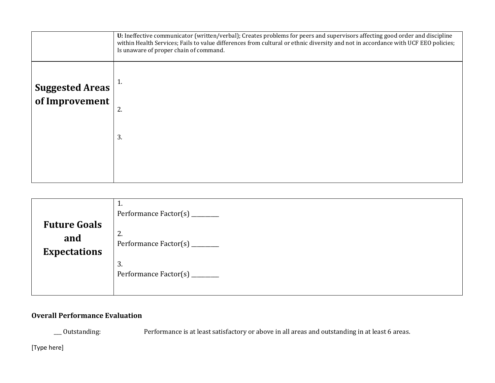|                                          | U: Ineffective communicator (written/verbal); Creates problems for peers and supervisors affecting good order and discipline<br>within Health Services; Fails to value differences from cultural or ethnic diversity and not in accordance with UCF EEO policies;<br>Is unaware of proper chain of command. |
|------------------------------------------|-------------------------------------------------------------------------------------------------------------------------------------------------------------------------------------------------------------------------------------------------------------------------------------------------------------|
| <b>Suggested Areas</b><br>of Improvement | 2.<br>3.                                                                                                                                                                                                                                                                                                    |
|                                          |                                                                                                                                                                                                                                                                                                             |

| <b>Future Goals</b>        | 1.<br>Performance Factor(s)<br>2. |
|----------------------------|-----------------------------------|
| and<br><b>Expectations</b> | Performance Factor(s)             |
|                            | 3.<br>Performance Factor(s)       |

## **Overall Performance Evaluation**

\_\_\_ Outstanding: Performance is at least satisfactory or above in all areas and outstanding in at least 6 areas.

[Type here]